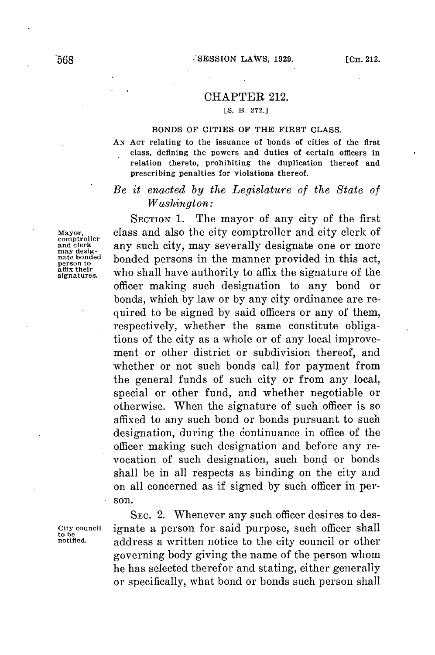## CHAPTER 212.

## **[S. B. 272.]**

## **BONDS OF CITIES OF THE FIRST CLASS.**

**AN ACT relating to the issuance of bonds of cities of the first class, defining the powers and duties of certain officers in relation thereto, prohibiting the duplication thereof and prescribing penalties for violations thereof.**

## *Be it enacted by the Legislature of the State of Washington:*

SECTION 1. The mayor of any city of the first **Mayor,** class and also the city comptroller and city clerk of compromer<br>
and clerk any such city, may severally designate one or more<br>
person to bonded persons in the manner provided in this act,<br>
afts their<br>
and their<br>
and their reaction to bonded persons in the manner provided in this act,<br>
affix their who shall have authority to affix the signature of the officer making such designation to any bond or bonds, which **by** law or **by** any city ordinance are required to be signed **by** said officers or any of them, respectively, whether the same constitute obligations of the city as a whole or of any local improvement or other district or subdivision thereof, and whether or not such bonds call for payment from the general funds of such city or from any local, special or other fund, and whether negotiable or otherwise. When the signature of such officer is so affixed to any such bond or bonds pursuant to such designation, during the continuance in office of the officer making such designation and before any revocation of such designation, such bond or bonds shall be in all respects as binding on the city and on all concerned as if signed **by** such officer in person.

SEC. 2. Whenever any such officer desires to des-**City council** ignate a person for said purpose, such officer shall **to be** address a written notice to the city council or other governing body giving the name of the person whom he has selected therefor and stating, either generally or specifically, what bond or bonds such person shall

mayor,<br>comptroller<br>and clerk<br>may desig-<br>nate bonded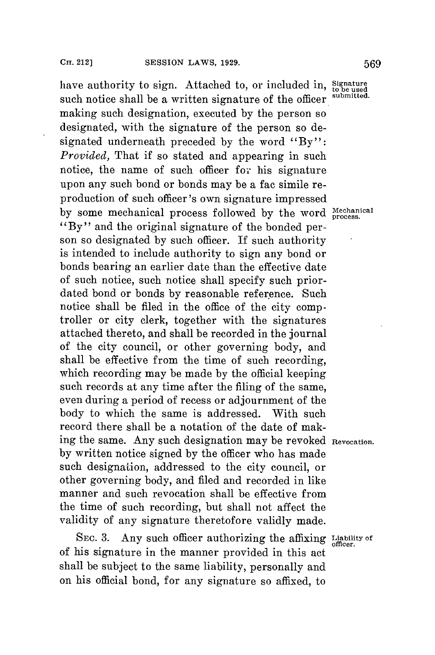have authority to sign. Attached to, or included in,  ${\rm^{Signature}}_{\rm{ion}}$  and  ${\rm^{Sophified}}$ . such notice shall be a written signature of the officer making such designation, executed **by** the person so designated, with the signature of the person so designated underneath preceded **by** the word **"By":** *Provided,* That if so stated and appearing in such notice, the name of such officer for his signature upon any such bond or bonds may be a fac simile reproduction of such officer's own signature impressed by some mechanical process followed by the word **Mechanical "By"** and the original signature of the bonded person so designated **by** such officer. **If** such authority is intended to include authority to sign any bond or bonds bearing an earlier date than the effective date of such notice, such notice shall specify such priordated bond or bonds by reasonable reference. Such notice shall be filed in the office of the city comptroller or city clerk, together with the signatures attached thereto, and shall be recorded in the journal of the city council, or other governing body, and shall be effective from the time of such recording, which recording may be made **by** the official keeping such records at any time after the filing of the same, even during a period of recess or adjournment of the body to which the same is addressed. With such record there shall be a notation of the date of making the same. Any such designation may be revoked **Revocation. by** written notice signed **by** the officer who has made such designation, addressed to the city council, or other governing body, and filed and recorded in like manner and such revocation shall be effective from the time of such recording, but shall not affect the validity of any signature theretofore validly made.

SEC. 3. Any such officer authorizing the affixing Liability of of his signature in the manner provided in this act shall be subject to the same liability, personally and on his official bond, for any signature so affixed, to